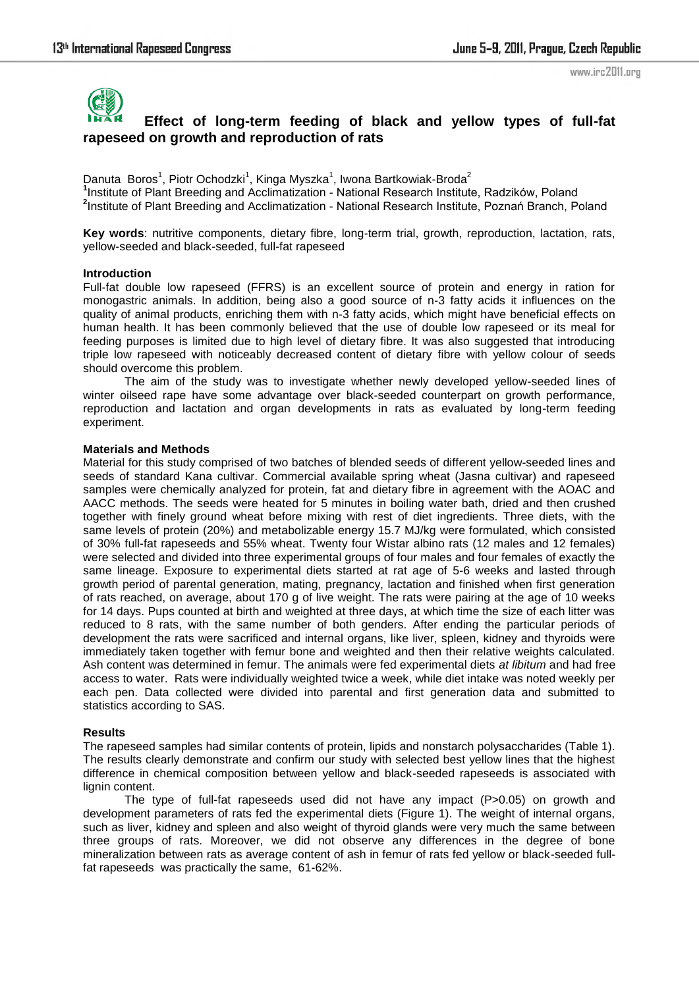www.irc2011.org



# **Effect of long-term feeding of black and yellow types of full-fat rapeseed on growth and reproduction of rats**

Danuta Boros<sup>1</sup>, Piotr Ochodzki<sup>1</sup>, Kinga Myszka<sup>1</sup>, Iwona Bartkowiak-Broda<sup>2</sup> **1** Institute of Plant Breeding and Acclimatization - National Research Institute, Radzików, Poland **2** Institute of Plant Breeding and Acclimatization - National Research Institute, Poznań Branch, Poland

**Key words**: nutritive components, dietary fibre, long-term trial, growth, reproduction, lactation, rats, yellow-seeded and black-seeded, full-fat rapeseed

### **Introduction**

Full-fat double low rapeseed (FFRS) is an excellent source of protein and energy in ration for monogastric animals. In addition, being also a good source of n-3 fatty acids it influences on the quality of animal products, enriching them with n-3 fatty acids, which might have beneficial effects on human health. It has been commonly believed that the use of double low rapeseed or its meal for feeding purposes is limited due to high level of dietary fibre. It was also suggested that introducing triple low rapeseed with noticeably decreased content of dietary fibre with yellow colour of seeds should overcome this problem.

The aim of the study was to investigate whether newly developed yellow-seeded lines of winter oilseed rape have some advantage over black-seeded counterpart on growth performance, reproduction and lactation and organ developments in rats as evaluated by long-term feeding experiment.

### **Materials and Methods**

Material for this study comprised of two batches of blended seeds of different yellow-seeded lines and seeds of standard Kana cultivar. Commercial available spring wheat (Jasna cultivar) and rapeseed samples were chemically analyzed for protein, fat and dietary fibre in agreement with the AOAC and AACC methods. The seeds were heated for 5 minutes in boiling water bath, dried and then crushed together with finely ground wheat before mixing with rest of diet ingredients. Three diets, with the same levels of protein (20%) and metabolizable energy 15.7 MJ/kg were formulated, which consisted of 30% full-fat rapeseeds and 55% wheat. Twenty four Wistar albino rats (12 males and 12 females) were selected and divided into three experimental groups of four males and four females of exactly the same lineage. Exposure to experimental diets started at rat age of 5-6 weeks and lasted through growth period of parental generation, mating, pregnancy, lactation and finished when first generation of rats reached, on average, about 170 g of live weight. The rats were pairing at the age of 10 weeks for 14 days. Pups counted at birth and weighted at three days, at which time the size of each litter was reduced to 8 rats, with the same number of both genders. After ending the particular periods of development the rats were sacrificed and internal organs, like liver, spleen, kidney and thyroids were immediately taken together with femur bone and weighted and then their relative weights calculated. Ash content was determined in femur. The animals were fed experimental diets *at libitum* and had free access to water. Rats were individually weighted twice a week, while diet intake was noted weekly per each pen. Data collected were divided into parental and first generation data and submitted to statistics according to SAS.

# **Results**

The rapeseed samples had similar contents of protein, lipids and nonstarch polysaccharides (Table 1). The results clearly demonstrate and confirm our study with selected best yellow lines that the highest difference in chemical composition between yellow and black-seeded rapeseeds is associated with lignin content.

The type of full-fat rapeseeds used did not have any impact (P>0.05) on growth and development parameters of rats fed the experimental diets (Figure 1). The weight of internal organs, such as liver, kidney and spleen and also weight of thyroid glands were very much the same between three groups of rats. Moreover, we did not observe any differences in the degree of bone mineralization between rats as average content of ash in femur of rats fed yellow or black-seeded fullfat rapeseeds was practically the same, 61-62%.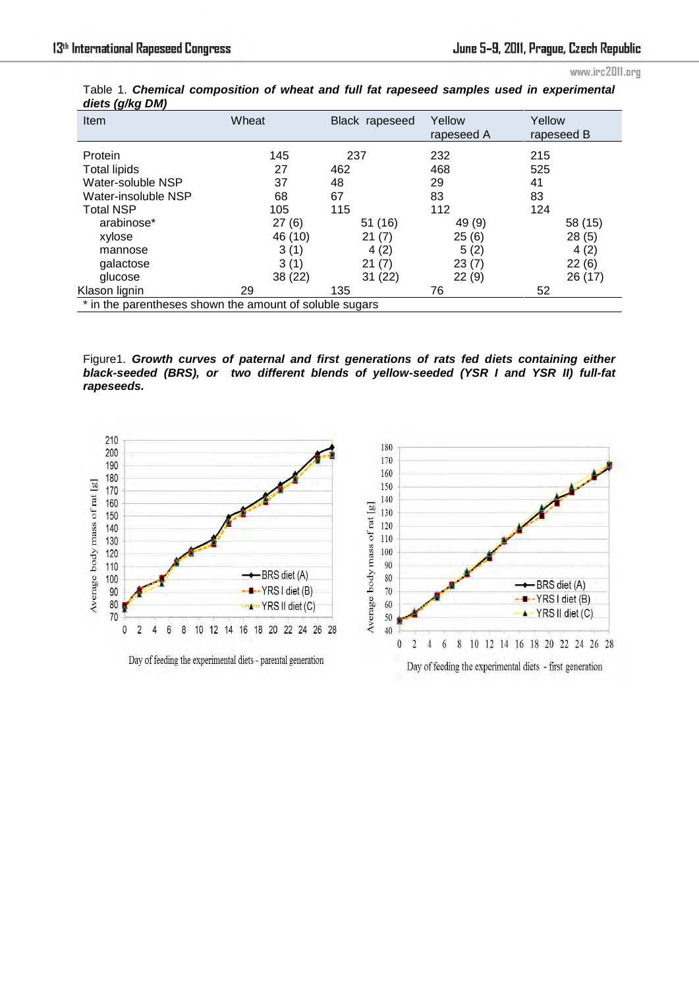www.irc2011.org

| ט טו<br>Item                                            | Wheat   | Black rapeseed | Yellow<br>rapeseed A | Yellow<br>rapeseed B |  |
|---------------------------------------------------------|---------|----------------|----------------------|----------------------|--|
| Protein                                                 | 145     | 237            | 232                  | 215                  |  |
| <b>Total lipids</b>                                     | 27      | 462            | 468                  | 525                  |  |
| Water-soluble NSP                                       | 37      | 48             | 29                   | 41                   |  |
| Water-insoluble NSP                                     | 68      | 67             | 83                   | 83                   |  |
| <b>Total NSP</b>                                        | 105     | 115            | 112                  | 124                  |  |
| arabinose*                                              | 27(6)   | 51 (16)        | 49 (9)               | 58 (15)              |  |
| xylose                                                  | 46 (10) | 21(7)          | 25(6)                | 28(5)                |  |
| mannose                                                 | 3(1)    | 4(2)           | 5(2)                 | 4(2)                 |  |
| galactose                                               | 3(1)    | 21(7)          | 23(7)                | 22(6)                |  |
| glucose                                                 | 38 (22) | 31(22)         | 22(9)                | 26 (17)              |  |
| Klason lignin                                           | 29      | 135            | 76                   | 52                   |  |
| * in the parentheses shown the amount of soluble sugars |         |                |                      |                      |  |

Table 1. *Chemical composition of wheat and full fat rapeseed samples used in experimental diets (g/kg DM)*

Figure1. *Growth curves of paternal and first generations of rats fed diets containing either black-seeded (BRS), or two different blends of yellow-seeded (YSR I and YSR II) full-fat rapeseeds.*